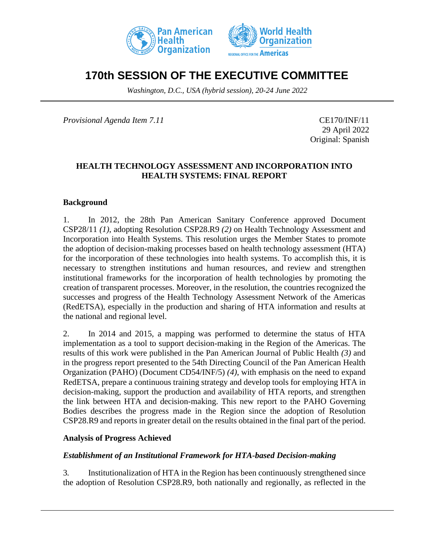



# **170th SESSION OF THE EXECUTIVE COMMITTEE**

*Washington, D.C., USA (hybrid session), 20-24 June 2022*

*Provisional Agenda Item 7.11* CE170/INF/11

29 April 2022 Original: Spanish

### **HEALTH TECHNOLOGY ASSESSMENT AND INCORPORATION INTO HEALTH SYSTEMS: FINAL REPORT**

#### **Background**

1. In 2012, the 28th Pan American Sanitary Conference approved Document CSP28/11 *(1)*, adopting Resolution CSP28.R9 *(2)* on Health Technology Assessment and Incorporation into Health Systems. This resolution urges the Member States to promote the adoption of decision-making processes based on health technology assessment (HTA) for the incorporation of these technologies into health systems. To accomplish this, it is necessary to strengthen institutions and human resources, and review and strengthen institutional frameworks for the incorporation of health technologies by promoting the creation of transparent processes. Moreover, in the resolution, the countries recognized the successes and progress of the Health Technology Assessment Network of the Americas (RedETSA), especially in the production and sharing of HTA information and results at the national and regional level.

2. In 2014 and 2015, a mapping was performed to determine the status of HTA implementation as a tool to support decision-making in the Region of the Americas. The results of this work were published in the Pan American Journal of Public Health *(3)* and in the progress report presented to the 54th Directing Council of the Pan American Health Organization (PAHO) (Document CD54/INF/5) *(4)*, with emphasis on the need to expand RedETSA, prepare a continuous training strategy and develop tools for employing HTA in decision-making, support the production and availability of HTA reports, and strengthen the link between HTA and decision-making. This new report to the PAHO Governing Bodies describes the progress made in the Region since the adoption of Resolution CSP28.R9 and reports in greater detail on the results obtained in the final part of the period.

#### **Analysis of Progress Achieved**

#### *Establishment of an Institutional Framework for HTA-based Decision-making*

3. Institutionalization of HTA in the Region has been continuously strengthened since the adoption of Resolution CSP28.R9, both nationally and regionally, as reflected in the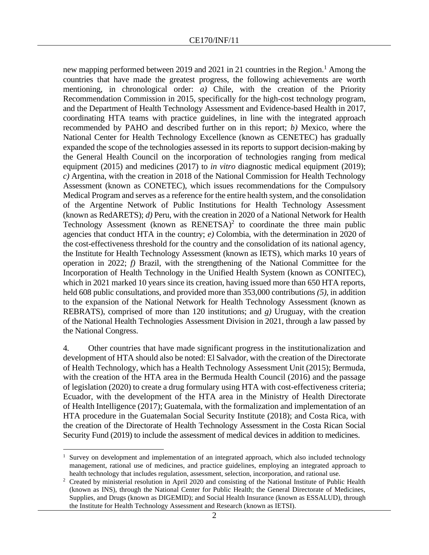new mapping performed between 2019 and 2021 in 21 countries in the Region.<sup>1</sup> Among the countries that have made the greatest progress, the following achievements are worth mentioning, in chronological order: *a)* Chile, with the creation of the Priority Recommendation Commission in 2015, specifically for the high-cost technology program, and the Department of Health Technology Assessment and Evidence-based Health in 2017, coordinating HTA teams with practice guidelines, in line with the integrated approach recommended by PAHO and described further on in this report; *b)* Mexico, where the National Center for Health Technology Excellence (known as CENETEC) has gradually expanded the scope of the technologies assessed in its reports to support decision-making by the General Health Council on the incorporation of technologies ranging from medical equipment (2015) and medicines (2017) to *in vitro* diagnostic medical equipment (2019); *c)* Argentina, with the creation in 2018 of the National Commission for Health Technology Assessment (known as CONETEC), which issues recommendations for the Compulsory Medical Program and serves as a reference for the entire health system, and the consolidation of the Argentine Network of Public Institutions for Health Technology Assessment (known as RedARETS); *d)* Peru, with the creation in 2020 of a National Network for Health Technology Assessment (known as  $RENETSA$ )<sup>2</sup> to coordinate the three main public agencies that conduct HTA in the country; *e)* Colombia, with the determination in 2020 of the cost-effectiveness threshold for the country and the consolidation of its national agency, the Institute for Health Technology Assessment (known as IETS), which marks 10 years of operation in 2022; *f)* Brazil, with the strengthening of the National Committee for the Incorporation of Health Technology in the Unified Health System (known as CONITEC), which in 2021 marked 10 years since its creation, having issued more than 650 HTA reports, held 608 public consultations, and provided more than 353,000 contributions *(5)*, in addition to the expansion of the National Network for Health Technology Assessment (known as REBRATS), comprised of more than 120 institutions; and *g)* Uruguay, with the creation of the National Health Technologies Assessment Division in 2021, through a law passed by the National Congress.

4. Other countries that have made significant progress in the institutionalization and development of HTA should also be noted: El Salvador, with the creation of the Directorate of Health Technology, which has a Health Technology Assessment Unit (2015); Bermuda, with the creation of the HTA area in the Bermuda Health Council (2016) and the passage of legislation (2020) to create a drug formulary using HTA with cost-effectiveness criteria; Ecuador, with the development of the HTA area in the Ministry of Health Directorate of Health Intelligence (2017); Guatemala, with the formalization and implementation of an HTA procedure in the Guatemalan Social Security Institute (2018); and Costa Rica, with the creation of the Directorate of Health Technology Assessment in the Costa Rican Social Security Fund (2019) to include the assessment of medical devices in addition to medicines.

Survey on development and implementation of an integrated approach, which also included technology management, rational use of medicines, and practice guidelines, employing an integrated approach to health technology that includes regulation, assessment, selection, incorporation, and rational use.

<sup>&</sup>lt;sup>2</sup> Created by ministerial resolution in April 2020 and consisting of the National Institute of Public Health (known as INS), through the National Center for Public Health; the General Directorate of Medicines, Supplies, and Drugs (known as DIGEMID); and Social Health Insurance (known as ESSALUD), through the Institute for Health Technology Assessment and Research (known as IETSI).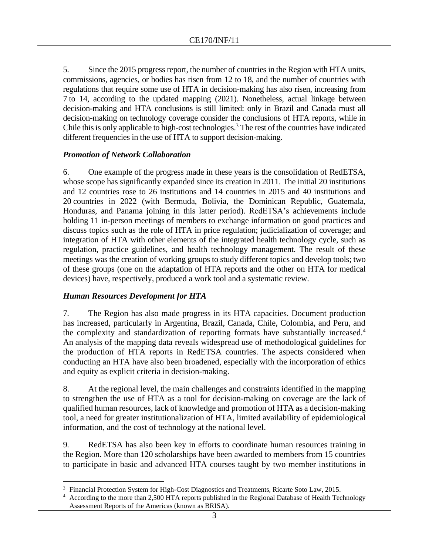5. Since the 2015 progress report, the number of countries in the Region with HTA units, commissions, agencies, or bodies has risen from 12 to 18, and the number of countries with regulations that require some use of HTA in decision-making has also risen, increasing from 7 to 14, according to the updated mapping (2021). Nonetheless, actual linkage between decision-making and HTA conclusions is still limited: only in Brazil and Canada must all decision-making on technology coverage consider the conclusions of HTA reports, while in Chile this is only applicable to high-cost technologies.<sup>3</sup> The rest of the countries have indicated different frequencies in the use of HTA to support decision-making.

### *Promotion of Network Collaboration*

6. One example of the progress made in these years is the consolidation of RedETSA, whose scope has significantly expanded since its creation in 2011. The initial 20 institutions and 12 countries rose to 26 institutions and 14 countries in 2015 and 40 institutions and 20 countries in 2022 (with Bermuda, Bolivia, the Dominican Republic, Guatemala, Honduras, and Panama joining in this latter period). RedETSA's achievements include holding 11 in-person meetings of members to exchange information on good practices and discuss topics such as the role of HTA in price regulation; judicialization of coverage; and integration of HTA with other elements of the integrated health technology cycle, such as regulation, practice guidelines, and health technology management. The result of these meetings was the creation of working groups to study different topics and develop tools; two of these groups (one on the adaptation of HTA reports and the other on HTA for medical devices) have, respectively, produced a work tool and a systematic review.

### *Human Resources Development for HTA*

7. The Region has also made progress in its HTA capacities. Document production has increased, particularly in Argentina, Brazil, Canada, Chile, Colombia, and Peru, and the complexity and standardization of reporting formats have substantially increased. 4 An analysis of the mapping data reveals widespread use of methodological guidelines for the production of HTA reports in RedETSA countries. The aspects considered when conducting an HTA have also been broadened, especially with the incorporation of ethics and equity as explicit criteria in decision-making.

8. At the regional level, the main challenges and constraints identified in the mapping to strengthen the use of HTA as a tool for decision-making on coverage are the lack of qualified human resources, lack of knowledge and promotion of HTA as a decision-making tool, a need for greater institutionalization of HTA, limited availability of epidemiological information, and the cost of technology at the national level.

9. RedETSA has also been key in efforts to coordinate human resources training in the Region. More than 120 scholarships have been awarded to members from 15 countries to participate in basic and advanced HTA courses taught by two member institutions in

<sup>&</sup>lt;sup>3</sup> Financial Protection System for High-Cost Diagnostics and Treatments, Ricarte Soto Law, 2015.

<sup>4</sup> According to the more than 2,500 HTA reports published in the Regional Database of Health Technology Assessment Reports of the Americas (known as BRISA).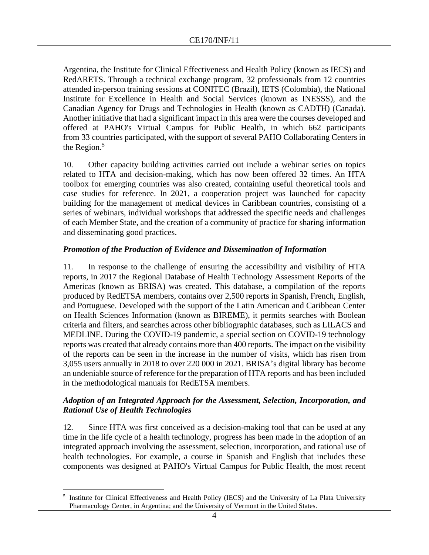Argentina, the Institute for Clinical Effectiveness and Health Policy (known as IECS) and RedARETS. Through a technical exchange program, 32 professionals from 12 countries attended in-person training sessions at CONITEC (Brazil), IETS (Colombia), the National Institute for Excellence in Health and Social Services (known as INESSS), and the Canadian Agency for Drugs and Technologies in Health (known as CADTH) (Canada). Another initiative that had a significant impact in this area were the courses developed and offered at PAHO's Virtual Campus for Public Health, in which 662 participants from 33 countries participated, with the support of several PAHO Collaborating Centers in the Region. $5$ 

10. Other capacity building activities carried out include a webinar series on topics related to HTA and decision-making, which has now been offered 32 times. An HTA toolbox for emerging countries was also created, containing useful theoretical tools and case studies for reference. In 2021, a cooperation project was launched for capacity building for the management of medical devices in Caribbean countries, consisting of a series of webinars, individual workshops that addressed the specific needs and challenges of each Member State, and the creation of a community of practice for sharing information and disseminating good practices.

### *Promotion of the Production of Evidence and Dissemination of Information*

11. In response to the challenge of ensuring the accessibility and visibility of HTA reports, in 2017 the Regional Database of Health Technology Assessment Reports of the Americas (known as BRISA) was created. This database, a compilation of the reports produced by RedETSA members, contains over 2,500 reports in Spanish, French, English, and Portuguese. Developed with the support of the Latin American and Caribbean Center on Health Sciences Information (known as BIREME), it permits searches with Boolean criteria and filters, and searches across other bibliographic databases, such as LILACS and MEDLINE. During the COVID-19 pandemic, a special section on COVID-19 technology reports was created that already contains more than 400 reports. The impact on the visibility of the reports can be seen in the increase in the number of visits, which has risen from 3,055 users annually in 2018 to over 220 000 in 2021. BRISA's digital library has become an undeniable source of reference for the preparation of HTA reports and has been included in the methodological manuals for RedETSA members.

### *Adoption of an Integrated Approach for the Assessment, Selection, Incorporation, and Rational Use of Health Technologies*

12. Since HTA was first conceived as a decision-making tool that can be used at any time in the life cycle of a health technology, progress has been made in the adoption of an integrated approach involving the assessment, selection, incorporation, and rational use of health technologies. For example, a course in Spanish and English that includes these components was designed at PAHO's Virtual Campus for Public Health, the most recent

<sup>&</sup>lt;sup>5</sup> Institute for Clinical Effectiveness and Health Policy (IECS) and the University of La Plata University Pharmacology Center, in Argentina; and the University of Vermont in the United States.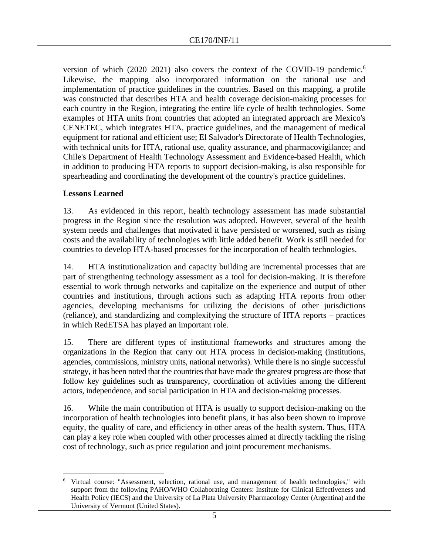version of which (2020–2021) also covers the context of the COVID-19 pandemic.<sup>6</sup> Likewise, the mapping also incorporated information on the rational use and implementation of practice guidelines in the countries. Based on this mapping, a profile was constructed that describes HTA and health coverage decision-making processes for each country in the Region, integrating the entire life cycle of health technologies. Some examples of HTA units from countries that adopted an integrated approach are Mexico's CENETEC, which integrates HTA, practice guidelines, and the management of medical equipment for rational and efficient use; El Salvador's Directorate of Health Technologies, with technical units for HTA, rational use, quality assurance, and pharmacovigilance; and Chile's Department of Health Technology Assessment and Evidence-based Health, which in addition to producing HTA reports to support decision-making, is also responsible for spearheading and coordinating the development of the country's practice guidelines.

## **Lessons Learned**

13. As evidenced in this report, health technology assessment has made substantial progress in the Region since the resolution was adopted. However, several of the health system needs and challenges that motivated it have persisted or worsened, such as rising costs and the availability of technologies with little added benefit. Work is still needed for countries to develop HTA-based processes for the incorporation of health technologies.

14. HTA institutionalization and capacity building are incremental processes that are part of strengthening technology assessment as a tool for decision-making. It is therefore essential to work through networks and capitalize on the experience and output of other countries and institutions, through actions such as adapting HTA reports from other agencies, developing mechanisms for utilizing the decisions of other jurisdictions (reliance), and standardizing and complexifying the structure of HTA reports – practices in which RedETSA has played an important role.

15. There are different types of institutional frameworks and structures among the organizations in the Region that carry out HTA process in decision-making (institutions, agencies, commissions, ministry units, national networks). While there is no single successful strategy, it has been noted that the countries that have made the greatest progress are those that follow key guidelines such as transparency, coordination of activities among the different actors, independence, and social participation in HTA and decision-making processes.

16. While the main contribution of HTA is usually to support decision-making on the incorporation of health technologies into benefit plans, it has also been shown to improve equity, the quality of care, and efficiency in other areas of the health system. Thus, HTA can play a key role when coupled with other processes aimed at directly tackling the rising cost of technology, such as price regulation and joint procurement mechanisms.

<sup>&</sup>lt;sup>6</sup> Virtual course: "Assessment, selection, rational use, and management of health technologies," with support from the following PAHO/WHO Collaborating Centers: Institute for Clinical Effectiveness and Health Policy (IECS) and the University of La Plata University Pharmacology Center (Argentina) and the University of Vermont (United States).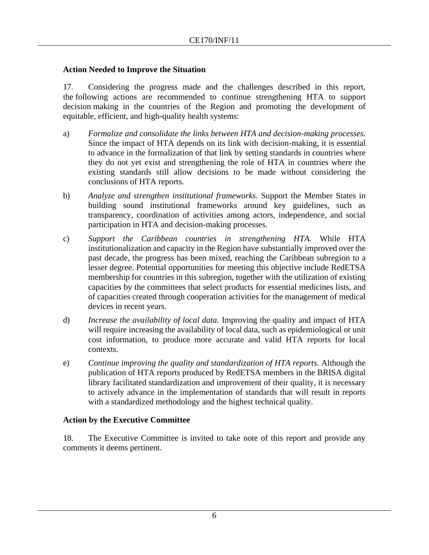### **Action Needed to Improve the Situation**

17. Considering the progress made and the challenges described in this report, the following actions are recommended to continue strengthening HTA to support decision making in the countries of the Region and promoting the development of equitable, efficient, and high-quality health systems:

- a) *Formalize and consolidate the links between HTA and decision-making processes.* Since the impact of HTA depends on its link with decision-making, it is essential to advance in the formalization of that link by setting standards in countries where they do not yet exist and strengthening the role of HTA in countries where the existing standards still allow decisions to be made without considering the conclusions of HTA reports.
- b) *Analyze and strengthen institutional frameworks.* Support the Member States in building sound institutional frameworks around key guidelines, such as transparency, coordination of activities among actors, independence, and social participation in HTA and decision-making processes.
- c) *Support the Caribbean countries in strengthening HTA.* While HTA institutionalization and capacity in the Region have substantially improved over the past decade, the progress has been mixed, reaching the Caribbean subregion to a lesser degree. Potential opportunities for meeting this objective include RedETSA membership for countries in this subregion, together with the utilization of existing capacities by the committees that select products for essential medicines lists, and of capacities created through cooperation activities for the management of medical devices in recent years.
- d) *Increase the availability of local data.* Improving the quality and impact of HTA will require increasing the availability of local data, such as epidemiological or unit cost information, to produce more accurate and valid HTA reports for local contexts.
- e) *Continue improving the quality and standardization of HTA reports.* Although the publication of HTA reports produced by RedETSA members in the BRISA digital library facilitated standardization and improvement of their quality, it is necessary to actively advance in the implementation of standards that will result in reports with a standardized methodology and the highest technical quality.

### **Action by the Executive Committee**

18. The Executive Committee is invited to take note of this report and provide any comments it deems pertinent.